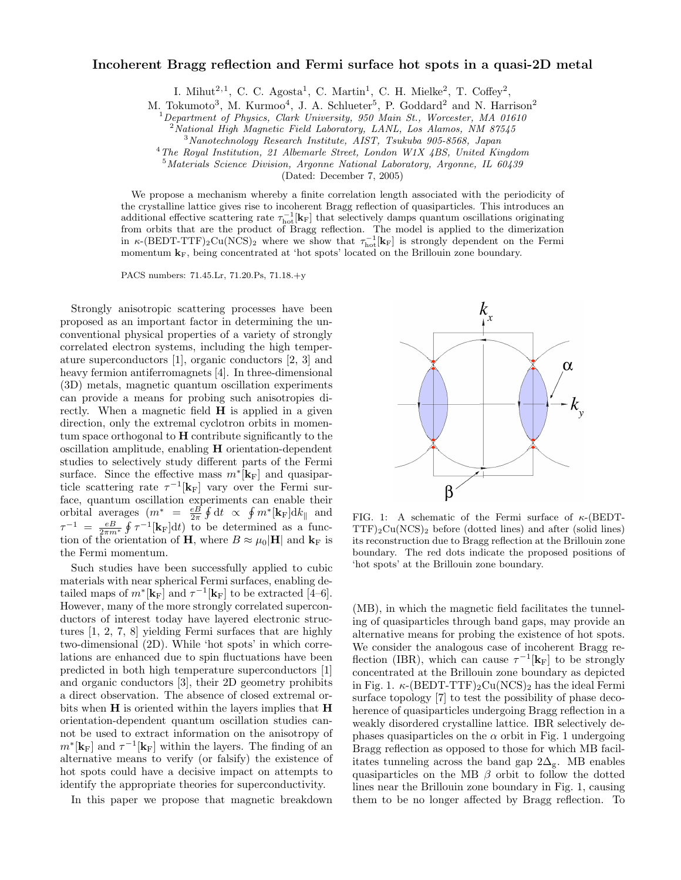## Incoherent Bragg reflection and Fermi surface hot spots in a quasi-2D metal

I. Mihut<sup>2,1</sup>, C. C. Agosta<sup>1</sup>, C. Martin<sup>1</sup>, C. H. Mielke<sup>2</sup>, T. Coffey<sup>2</sup>,

M. Tokumoto<sup>3</sup>, M. Kurmoo<sup>4</sup>, J. A. Schlueter<sup>5</sup>, P. Goddard<sup>2</sup> and N. Harrison<sup>2</sup><sup>1</sup>Department of Physics, Clark University, 950 Main St., Worcester, MA 01610

 $^{2}$ National High Magnetic Field Laboratory, LANL, Los Alamos, NM 87545<br>  $^{3}$ Nanotechnology Research Institute, AIST, Tsukuba 905-8568, Japan<br>  $^{4}$ The Royal Institution, 21 Albemarle Street, London W1X 4BS, United King

(Dated: December 7, 2005)

We propose a mechanism whereby a finite correlation length associated with the periodicity of the crystalline lattice gives rise to incoherent Bragg reflection of quasiparticles. This introduces an additional effective scattering rate  $\tau_{\text{hot}}^{-1}[\mathbf{k}_{\text{F}}]$  that selectively damps quantum oscillations originating from orbits that are the product of Bragg reflection. The model is applied to the dimerization in  $\kappa$ -(BEDT-TTF)<sub>2</sub>Cu(NCS)<sub>2</sub> where we show that  $\tau_{\text{hot}}^{-1}[\mathbf{k}_{\text{F}}]$  is strongly dependent on the Fermi momentum  $\mathbf{k}_F$ , being concentrated at 'hot spots' located on the Brillouin zone boundary.

PACS numbers: 71.45.Lr, 71.20.Ps, 71.18.+y

Strongly anisotropic scattering processes have been proposed as an important factor in determining the unconventional physical properties of a variety of strongly correlated electron systems, including the high temperature superconductors [1], organic conductors [2, 3] and heavy fermion antiferromagnets [4]. In three-dimensional (3D) metals, magnetic quantum oscillation experiments can provide a means for probing such anisotropies directly. When a magnetic field H is applied in a given direction, only the extremal cyclotron orbits in momentum space orthogonal to H contribute significantly to the oscillation amplitude, enabling H orientation-dependent studies to selectively study different parts of the Fermi surface. Since the effective mass  $m^*[\mathbf{k}_F]$  and quasiparticle scattering rate  $\tau^{-1}[\mathbf{k}_F]$  vary over the Fermi surface, quantum oscillation experiments can enable their orbital averages  $(m^* = \frac{eB}{2\pi} \oint dt \propto \oint m^* [\mathbf{k}_{F}] dk_{\parallel}$  and  $\tau^{-1} = \frac{eB}{2\pi m^*} \oint \tau^{-1} [\mathbf{k}_{\rm F}] dt$  to be determined as a function of the orientation of **H**, where  $B \approx \mu_0 |\mathbf{H}|$  and  $\mathbf{k}_F$  is the Fermi momentum.

Such studies have been successfully applied to cubic materials with near spherical Fermi surfaces, enabling detailed maps of  $m^*[\mathbf{k}_F]$  and  $\tau^{-1}[\mathbf{k}_F]$  to be extracted [4–6]. However, many of the more strongly correlated superconductors of interest today have layered electronic structures [1, 2, 7, 8] yielding Fermi surfaces that are highly two-dimensional (2D). While 'hot spots' in which correlations are enhanced due to spin fluctuations have been predicted in both high temperature superconductors [1] and organic conductors [3], their 2D geometry prohibits a direct observation. The absence of closed extremal orbits when H is oriented within the layers implies that H orientation-dependent quantum oscillation studies cannot be used to extract information on the anisotropy of  $m^*$ [ $\mathbf{k}_F$ ] and  $\tau^{-1}$ [ $\mathbf{k}_F$ ] within the layers. The finding of an alternative means to verify (or falsify) the existence of hot spots could have a decisive impact on attempts to identify the appropriate theories for superconductivity.

In this paper we propose that magnetic breakdown



FIG. 1: A schematic of the Fermi surface of  $\kappa$ -(BEDT- $TTF)_2Cu(NCS)_2$  before (dotted lines) and after (solid lines) its reconstruction due to Bragg reflection at the Brillouin zone boundary. The red dots indicate the proposed positions of 'hot spots' at the Brillouin zone boundary.

(MB), in which the magnetic field facilitates the tunneling of quasiparticles through band gaps, may provide an alternative means for probing the existence of hot spots. We consider the analogous case of incoherent Bragg reflection (IBR), which can cause  $\tau^{-1}[\mathbf{k}_{\text{F}}]$  to be strongly concentrated at the Brillouin zone boundary as depicted in Fig. 1.  $\kappa$ -(BEDT-TTF)<sub>2</sub>Cu(NCS)<sub>2</sub> has the ideal Fermi surface topology [7] to test the possibility of phase decoherence of quasiparticles undergoing Bragg reflection in a weakly disordered crystalline lattice. IBR selectively dephases quasiparticles on the  $\alpha$  orbit in Fig. 1 undergoing Bragg reflection as opposed to those for which MB facilitates tunneling across the band gap  $2\Delta_{\mathbf{g}}$ . MB enables quasiparticles on the MB  $\beta$  orbit to follow the dotted lines near the Brillouin zone boundary in Fig. 1, causing them to be no longer affected by Bragg reflection. To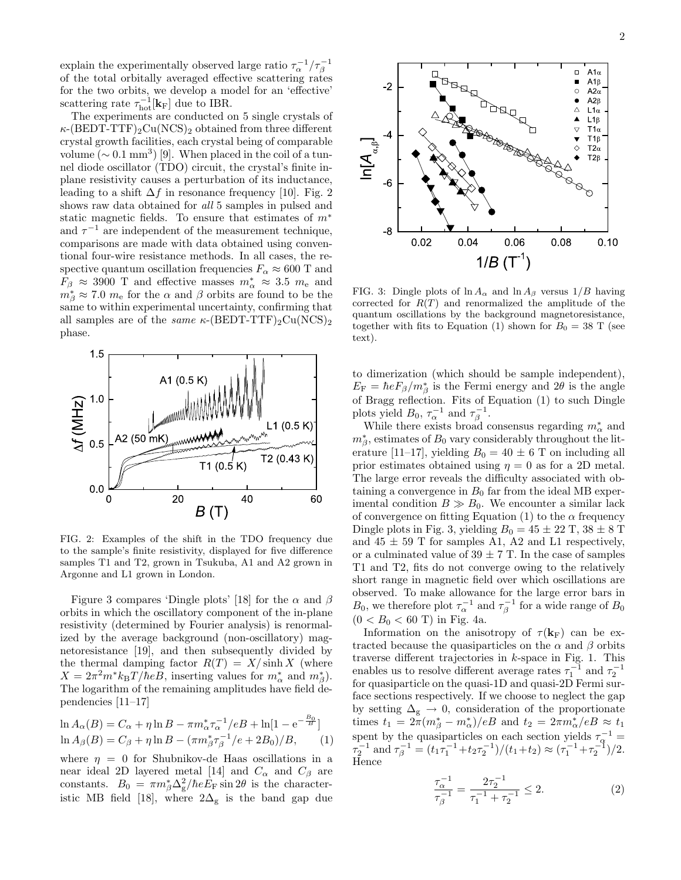explain the experimentally observed large ratio  $\tau_{\alpha}^{-1}/\tau_{\beta}^{-1}$ of the total orbitally averaged effective scattering rates for the two orbits, we develop a model for an 'effective' scattering rate  $\tau_{hot}^{-1}[\mathbf{k}_{F}]$  due to IBR.

The experiments are conducted on 5 single crystals of  $\kappa$ -(BEDT-TTF)<sub>2</sub>Cu(NCS)<sub>2</sub> obtained from three different crystal growth facilities, each crystal being of comparable volume ( $\sim 0.1 \text{ mm}^3$ ) [9]. When placed in the coil of a tunnel diode oscillator (TDO) circuit, the crystal's finite inplane resistivity causes a perturbation of its inductance, leading to a shift  $\Delta f$  in resonance frequency [10]. Fig. 2 shows raw data obtained for *all* 5 samples in pulsed and static magnetic fields. To ensure that estimates of  $m^*$ and  $\tau^{-1}$  are independent of the measurement technique, comparisons are made with data obtained using conventional four-wire resistance methods. In all cases, the respective quantum oscillation frequencies  $F_{\alpha} \approx 600$  T and  $F_\beta \approx 3900$  T and effective masses  $m^*_{\alpha} \approx 3.5$   $m_e$  and  $m^*_{\beta} \approx 7.0 \, m_e$  for the  $\alpha$  and  $\beta$  orbits are found to be the same to within experimental uncertainty, confirming that all samples are of the *same*  $\kappa$ -(BEDT-TTF)<sub>2</sub>Cu(NCS)<sub>2</sub> phase.



FIG. 2: Examples of the shift in the TDO frequency due to the sample's finite resistivity, displayed for five difference samples T1 and T2, grown in Tsukuba, A1 and A2 grown in Argonne and L1 grown in London.

Figure 3 compares 'Dingle plots' [18] for the  $\alpha$  and  $\beta$ orbits in which the oscillatory component of the in-plane resistivity (determined by Fourier analysis) is renormalized by the average background (non-oscillatory) magnetoresistance [19], and then subsequently divided by the thermal damping factor  $R(T) = X/\sinh X$  (where  $X = 2\pi^2 m^* k_\text{B} T/\hbar eB$ , inserting values for  $m^*_{\alpha}$  and  $m^*_{\beta}$ . The logarithm of the remaining amplitudes have field dependencies [11–17]

$$
\ln A_{\alpha}(B) = C_{\alpha} + \eta \ln B - \pi m_{\alpha}^{*} \tau_{\alpha}^{-1} / eB + \ln[1 - e^{-\frac{B_{0}}{B}}]
$$
  

$$
\ln A_{\beta}(B) = C_{\beta} + \eta \ln B - (\pi m_{\beta}^{*} \tau_{\beta}^{-1} / e + 2B_{0}) / B, \qquad (1)
$$

where  $\eta = 0$  for Shubnikov-de Haas oscillations in a near ideal 2D layered metal [14] and  $C_{\alpha}$  and  $C_{\beta}$  are constants.  $B_0 = \pi m_\beta^* \Delta_g^2 / \hbar e E_F \sin 2\theta$  is the characteristic MB field [18], where  $2\Delta_{\rm g}$  is the band gap due



FIG. 3: Dingle plots of  $\ln A_{\alpha}$  and  $\ln A_{\beta}$  versus  $1/B$  having corrected for  $R(T)$  and renormalized the amplitude of the quantum oscillations by the background magnetoresistance, together with fits to Equation (1) shown for  $B_0 = 38$  T (see text).

to dimerization (which should be sample independent),  $E_{\rm F} = \hbar e F_{\beta} / m_{\beta}^*$  is the Fermi energy and  $2\theta$  is the angle of Bragg reflection. Fits of Equation (1) to such Dingle plots yield  $B_0$ ,  $\tau_\alpha^{-1}$  and  $\tau_\beta^{-1}$ .

While there exists broad consensus regarding  $m^*_{\alpha}$  and  $m^*_{\beta}$ , estimates of  $B_0$  vary considerably throughout the literature [11–17], yielding  $B_0 = 40 \pm 6$  T on including all prior estimates obtained using  $\eta = 0$  as for a 2D metal. The large error reveals the difficulty associated with obtaining a convergence in  $B_0$  far from the ideal MB experimental condition  $B \gg B_0$ . We encounter a similar lack of convergence on fitting Equation (1) to the  $\alpha$  frequency Dingle plots in Fig. 3, yielding  $B_0 = 45 \pm 22$  T,  $38 \pm 8$  T and  $45 \pm 59$  T for samples A1, A2 and L1 respectively, or a culminated value of  $39 \pm 7$  T. In the case of samples T1 and T2, fits do not converge owing to the relatively short range in magnetic field over which oscillations are observed. To make allowance for the large error bars in  $B_0$ , we therefore plot  $\tau_{\alpha}^{-1}$  and  $\tau_{\beta}^{-1}$  for a wide range of  $B_0$  $(0 < B_0 < 60 \text{ T})$  in Fig. 4a.

Information on the anisotropy of  $\tau({\bf k}_F)$  can be extracted because the quasiparticles on the  $\alpha$  and  $\beta$  orbits traverse different trajectories in  $k$ -space in Fig. 1. This enables us to resolve different average rates  $\tau_1^{-1}$  and  $\tau_2^{-1}$ for quasiparticle on the quasi-1D and quasi-2D Fermi surface sections respectively. If we choose to neglect the gap by setting  $\Delta_{\rm g}$   $\rightarrow$  0, consideration of the proportionate times  $t_1 = 2\pi (m_\beta^* - m_\alpha^*)/eB$  and  $t_2 = 2\pi m_\alpha^* / eB \approx t_1$ spent by the quasiparticles on each section yields  $\tau_{\rm q}^{-1}$  =  $\tau_2^{-1}$  and  $\tau_\beta^{-1} = (t_1 \tau_1^{-1} + t_2 \tau_2^{-1})/(t_1 + t_2) \approx (\tau_1^{-1} + \tau_2^{-1})/2$ . Hence

$$
\frac{\tau_{\alpha}^{-1}}{\tau_{\beta}^{-1}} = \frac{2\tau_2^{-1}}{\tau_1^{-1} + \tau_2^{-1}} \le 2.
$$
 (2)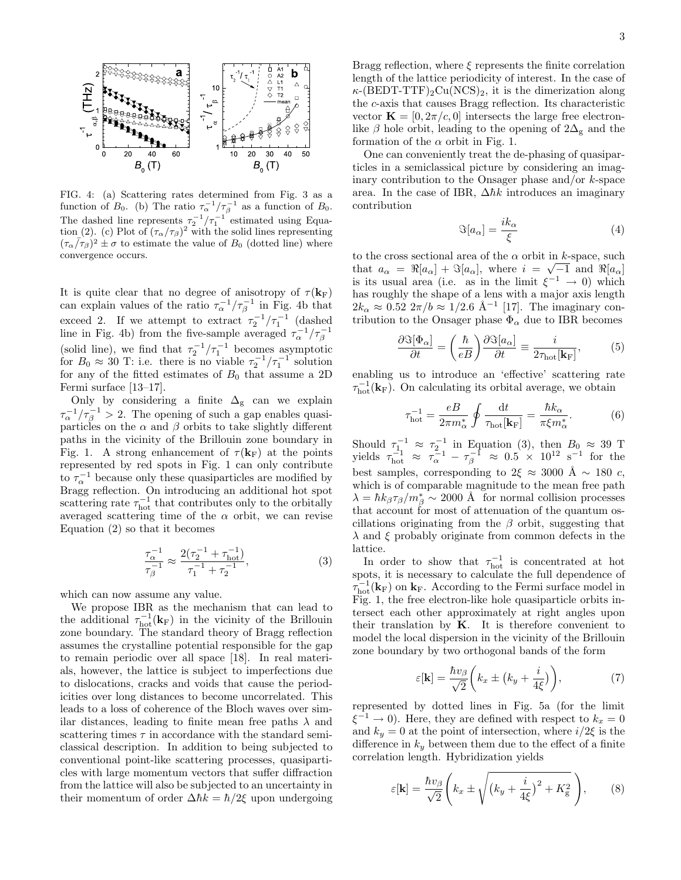

FIG. 4: (a) Scattering rates determined from Fig. 3 as a function of  $B_0$ . (b) The ratio  $\tau_\alpha^{-1}/\tau_\beta^{-1}$  as a function of  $B_0$ . The dashed line represents  $\tau_2^{-1}/\tau_1^{-1}$  estimated using Equation (2). (c) Plot of  $(\tau_{\alpha}/\tau_{\beta})^2$  with the solid lines representing  $(\tau_{\alpha}/\tau_{\beta})^2 \pm \sigma$  to estimate the value of  $B_0$  (dotted line) where convergence occurs.

It is quite clear that no degree of anisotropy of  $\tau({\bf k}_F)$ can explain values of the ratio  $\tau_{\alpha}^{-1}/\tau_{\beta}^{-1}$  in Fig. 4b that exceed 2. If we attempt to extract  $\tau_2^{-1}/\tau_1^{-1}$  (dashed line in Fig. 4b) from the five-sample averaged  $\tau_{\alpha}^{-1}/\tau_{\beta}^{-1}$ (solid line), we find that  $\tau_2^{-1}/\tau_1^{-1}$  becomes asymptotic for  $B_0 \approx 30$  T: i.e. there is no viable  $\tau_2^{-1}/\tau_1^{-1}$  solution for any of the fitted estimates of  $B_0$  that assume a 2D Fermi surface [13–17].

Only by considering a finite  $\Delta_{g}$  can we explain  $\tau_{\alpha}^{-1}/\tau_{\beta}^{-1} > 2$ . The opening of such a gap enables quasiparticles on the  $\alpha$  and  $\beta$  orbits to take slightly different paths in the vicinity of the Brillouin zone boundary in Fig. 1. A strong enhancement of  $\tau(\mathbf{k}_F)$  at the points represented by red spots in Fig. 1 can only contribute to  $\tau_{\alpha}^{-1}$  because only these quasiparticles are modified by Bragg reflection. On introducing an additional hot spot scattering rate  $\tau_{hot}^{-1}$  that contributes only to the orbitally averaged scattering time of the  $\alpha$  orbit, we can revise Equation (2) so that it becomes

$$
\frac{\tau_{\alpha}^{-1}}{\tau_{\beta}^{-1}} \approx \frac{2(\tau_2^{-1} + \tau_{\text{hot}}^{-1})}{\tau_1^{-1} + \tau_2^{-1}},
$$
\n(3)

which can now assume any value.

We propose IBR as the mechanism that can lead to the additional  $\tau_{hot}^{-1}(\mathbf{k}_{F})$  in the vicinity of the Brillouin zone boundary. The standard theory of Bragg reflection assumes the crystalline potential responsible for the gap to remain periodic over all space [18]. In real materials, however, the lattice is subject to imperfections due to dislocations, cracks and voids that cause the periodicities over long distances to become uncorrelated. This leads to a loss of coherence of the Bloch waves over similar distances, leading to finite mean free paths  $\lambda$  and scattering times  $\tau$  in accordance with the standard semiclassical description. In addition to being subjected to conventional point-like scattering processes, quasiparticles with large momentum vectors that suffer diffraction from the lattice will also be subjected to an uncertainty in their momentum of order  $\Delta\hbar k = \hbar/2\xi$  upon undergoing

Bragg reflection, where  $\xi$  represents the finite correlation length of the lattice periodicity of interest. In the case of  $\kappa$ -(BEDT-TTF)<sub>2</sub>Cu(NCS)<sub>2</sub>, it is the dimerization along the c-axis that causes Bragg reflection. Its characteristic vector  $\mathbf{K} = [0, 2\pi/c, 0]$  intersects the large free electronlike  $\beta$  hole orbit, leading to the opening of  $2\Delta_{g}$  and the formation of the  $\alpha$  orbit in Fig. 1.

One can conveniently treat the de-phasing of quasiparticles in a semiclassical picture by considering an imaginary contribution to the Onsager phase and/or  $k$ -space area. In the case of IBR,  $\Delta\hbar k$  introduces an imaginary contribution

$$
\Im[a_{\alpha}] = \frac{ik_{\alpha}}{\xi} \tag{4}
$$

to the cross sectional area of the  $\alpha$  orbit in k-space, such that  $a_{\alpha} = \Re[a_{\alpha}] + \Im[a_{\alpha}]$ , where  $i = \sqrt{-1}$  and  $\Re[a_{\alpha}]$ is its usual area (i.e. as in the limit  $\xi^{-1} \to 0$ ) which has roughly the shape of a lens with a major axis length  $2k_{\alpha} \approx 0.52 \; 2\pi/b \approx 1/2.6 \; \text{\AA}^{-1}$  [17]. The imaginary contribution to the Onsager phase  $\Phi_{\alpha}$  due to IBR becomes

$$
\frac{\partial \Im[\Phi_{\alpha}]}{\partial t} = \left(\frac{\hbar}{eB}\right) \frac{\partial \Im[a_{\alpha}]}{\partial t} \equiv \frac{i}{2\tau_{\text{hot}}[\mathbf{k}_{\text{F}}]},\tag{5}
$$

enabling us to introduce an 'effective' scattering rate  $\tau_{hot}^{-1}(\mathbf{k}_F)$ . On calculating its orbital average, we obtain

$$
\tau_{\text{hot}}^{-1} = \frac{eB}{2\pi m_{\alpha}^{*}} \oint \frac{\text{d}t}{\tau_{\text{hot}}[\mathbf{k}_{\text{F}}]} = \frac{\hbar k_{\alpha}}{\pi \xi m_{\alpha}^{*}}.
$$
 (6)

Should  $\tau_{1}^{-1} \approx \tau_{2}^{-1}$  in Equation (3), then  $B_0 \approx 39$  T yields  $\tau_{hot}^{-1} \approx \tau_{\alpha}^{-1} - \tau_{\beta}^{-1} \approx 0.5 \times 10^{12} \text{ s}^{-1}$  for the best samples, corresponding to  $2\xi \approx 3000 \text{ Å} \sim 180 \text{ c}$ , which is of comparable magnitude to the mean free path  $\lambda = \hbar k_{\beta} \tau_{\beta} / m_{\beta}^{*} \sim 2000 \text{ \AA}$  for normal collision processes that account for most of attenuation of the quantum oscillations originating from the  $\beta$  orbit, suggesting that  $\lambda$  and  $\xi$  probably originate from common defects in the lattice.

In order to show that  $\tau_{hot}^{-1}$  is concentrated at hot spots, it is necessary to calculate the full dependence of  $\tau_{hot}^{-1}(\mathbf{k}_{F})$  on  $\mathbf{k}_{F}$ . According to the Fermi surface model in Fig. 1, the free electron-like hole quasiparticle orbits intersect each other approximately at right angles upon their translation by  $K$ . It is therefore convenient to model the local dispersion in the vicinity of the Brillouin zone boundary by two orthogonal bands of the form

$$
\varepsilon[\mathbf{k}] = \frac{\hbar v_\beta}{\sqrt{2}} \left( k_x \pm \left( k_y + \frac{i}{4\xi} \right) \right),\tag{7}
$$

represented by dotted lines in Fig. 5a (for the limit  $\xi^{-1} \to 0$ ). Here, they are defined with respect to  $k_x = 0$ and  $k_y = 0$  at the point of intersection, where  $i/2\xi$  is the difference in  $k_y$  between them due to the effect of a finite correlation length. Hybridization yields

$$
\varepsilon[\mathbf{k}] = \frac{\hbar v_\beta}{\sqrt{2}} \left( k_x \pm \sqrt{\left(k_y + \frac{i}{4\xi}\right)^2 + K_g^2} \right), \quad (8)
$$